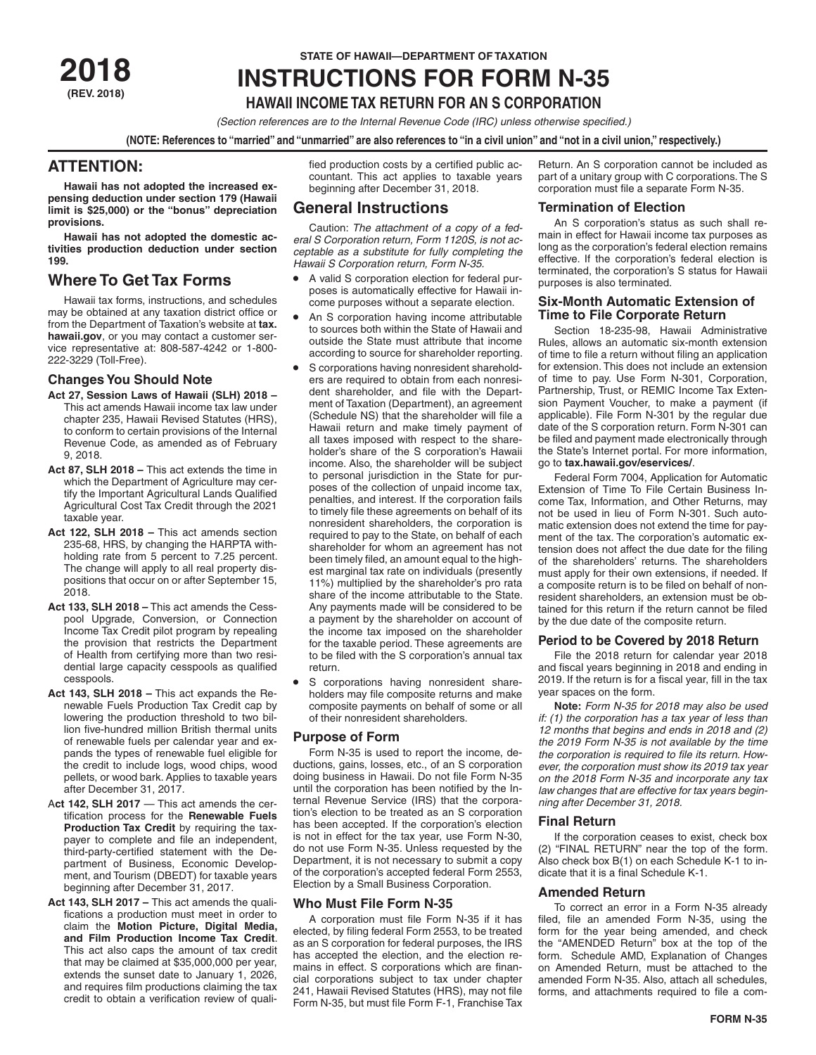**(REV. 2018)**

# **STATE OF HAWAII—DEPARTMENT OF TAXATION** STATE OF HAWAII—DEPARTMENT OF TAXATION<br>**2018 INSTRUCTIONS FOR FORM N-35**

# **HAWAII INCOME TAX RETURN FOR AN S CORPORATION**

*(Section references are to the Internal Revenue Code (IRC) unless otherwise specified.)*

**(NOTE: References to "married" and "unmarried" are also references to "in a civil union" and "not in a civil union," respectively.)**

# **ATTENTION:**

**Hawaii has not adopted the increased expensing deduction under section 179 (Hawaii limit is \$25,000) or the "bonus" depreciation provisions.**

**Hawaii has not adopted the domestic activities production deduction under section 199.**

# **Where To Get Tax Forms**

Hawaii tax forms, instructions, and schedules may be obtained at any taxation district office or from the Department of Taxation's website at **tax. hawaii.gov**, or you may contact a customer service representative at: 808-587-4242 or 1-800- 222-3229 (Toll-Free).

## **Changes You Should Note**

- **Act 27, Session Laws of Hawaii (SLH) 2018**  This act amends Hawaii income tax law under chapter 235, Hawaii Revised Statutes (HRS), to conform to certain provisions of the Internal Revenue Code, as amended as of February 9, 2018.
- **Act 87, SLH 2018** This act extends the time in which the Department of Agriculture may certify the Important Agricultural Lands Qualified Agricultural Cost Tax Credit through the 2021 taxable year.
- **Act 122, SLH 2018 –** This act amends section 235-68, HRS, by changing the HARPTA withholding rate from 5 percent to 7.25 percent. The change will apply to all real property dispositions that occur on or after September 15, 2018.
- **Act 133, SLH 2018 –** This act amends the Cesspool Upgrade, Conversion, or Connection Income Tax Credit pilot program by repealing the provision that restricts the Department of Health from certifying more than two residential large capacity cesspools as qualified cesspools.
- **Act 143, SLH 2018 –** This act expands the Renewable Fuels Production Tax Credit cap by lowering the production threshold to two billion five-hundred million British thermal units of renewable fuels per calendar year and expands the types of renewable fuel eligible for the credit to include logs, wood chips, wood pellets, or wood bark. Applies to taxable years after December 31, 2017.
- Act 142, SLH 2017 This act amends the certification process for the **Renewable Fuels Production Tax Credit** by requiring the taxpayer to complete and file an independent, third-party-certified statement with the Department of Business, Economic Development, and Tourism (DBEDT) for taxable years beginning after December 31, 2017.
- **Act 143, SLH 2017** This act amends the qualifications a production must meet in order to claim the **Motion Picture, Digital Media, and Film Production Income Tax Credit**. This act also caps the amount of tax credit that may be claimed at \$35,000,000 per year, extends the sunset date to January 1, 2026, and requires film productions claiming the tax credit to obtain a verification review of quali-

fied production costs by a certified public accountant. This act applies to taxable years beginning after December 31, 2018.

# **General Instructions**

Caution: *The attachment of a copy of a federal S Corporation return, Form 1120S, is not acceptable as a substitute for fully completing the Hawaii S Corporation return, Form N-35.*

- A valid S corporation election for federal purposes is automatically effective for Hawaii income purposes without a separate election.
- An S corporation having income attributable to sources both within the State of Hawaii and outside the State must attribute that income according to source for shareholder reporting.
- S corporations having nonresident shareholders are required to obtain from each nonresident shareholder, and file with the Department of Taxation (Department), an agreement (Schedule NS) that the shareholder will file a Hawaii return and make timely payment of all taxes imposed with respect to the shareholder's share of the S corporation's Hawaii income. Also, the shareholder will be subject to personal jurisdiction in the State for purposes of the collection of unpaid income tax, penalties, and interest. If the corporation fails to timely file these agreements on behalf of its nonresident shareholders, the corporation is required to pay to the State, on behalf of each shareholder for whom an agreement has not been timely filed, an amount equal to the highest marginal tax rate on individuals (presently 11%) multiplied by the shareholder's pro rata share of the income attributable to the State. Any payments made will be considered to be a payment by the shareholder on account of the income tax imposed on the shareholder for the taxable period. These agreements are to be filed with the S corporation's annual tax return.
- S corporations having nonresident shareholders may file composite returns and make composite payments on behalf of some or all of their nonresident shareholders.

## **Purpose of Form**

Form N-35 is used to report the income, deductions, gains, losses, etc., of an S corporation doing business in Hawaii. Do not file Form N-35 until the corporation has been notified by the Internal Revenue Service (IRS) that the corporation's election to be treated as an S corporation has been accepted. If the corporation's election is not in effect for the tax year, use Form N-30, do not use Form N-35. Unless requested by the Department, it is not necessary to submit a copy of the corporation's accepted federal Form 2553, Election by a Small Business Corporation.

## **Who Must File Form N-35**

A corporation must file Form N-35 if it has elected, by filing federal Form 2553, to be treated as an S corporation for federal purposes, the IRS has accepted the election, and the election remains in effect. S corporations which are financial corporations subject to tax under chapter 241, Hawaii Revised Statutes (HRS), may not file Form N-35, but must file Form F-1, Franchise Tax Return. An S corporation cannot be included as part of a unitary group with C corporations. The S corporation must file a separate Form N-35.

## **Termination of Election**

An S corporation's status as such shall remain in effect for Hawaii income tax purposes as long as the corporation's federal election remains effective. If the corporation's federal election is terminated, the corporation's S status for Hawaii purposes is also terminated.

## **Six-Month Automatic Extension of Time to File Corporate Return**

Section 18-235-98, Hawaii Administrative Rules, allows an automatic six-month extension of time to file a return without filing an application for extension. This does not include an extension of time to pay. Use Form N-301, Corporation, Partnership, Trust, or REMIC Income Tax Extension Payment Voucher, to make a payment (if applicable). File Form N-301 by the regular due date of the S corporation return. Form N-301 can be filed and payment made electronically through the State's Internet portal. For more information, go to **tax.hawaii.gov/eservices/**.

Federal Form 7004, Application for Automatic Extension of Time To File Certain Business Income Tax, Information, and Other Returns, may not be used in lieu of Form N-301. Such automatic extension does not extend the time for payment of the tax. The corporation's automatic extension does not affect the due date for the filing of the shareholders' returns. The shareholders must apply for their own extensions, if needed. If a composite return is to be filed on behalf of nonresident shareholders, an extension must be obtained for this return if the return cannot be filed by the due date of the composite return.

## **Period to be Covered by 2018 Return**

File the 2018 return for calendar year 2018 and fiscal years beginning in 2018 and ending in 2019. If the return is for a fiscal year, fill in the tax year spaces on the form.

**Note:** *Form N-35 for 2018 may also be used if: (1) the corporation has a tax year of less than 12 months that begins and ends in 2018 and (2) the 2019 Form N-35 is not available by the time the corporation is required to file its return. However, the corporation must show its 2019 tax year on the 2018 Form N-35 and incorporate any tax law changes that are effective for tax years beginning after December 31, 2018.*

## **Final Return**

If the corporation ceases to exist, check box (2) "FINAL RETURN" near the top of the form. Also check box B(1) on each Schedule K-1 to indicate that it is a final Schedule K-1.

## **Amended Return**

To correct an error in a Form N-35 already filed, file an amended Form N-35, using the form for the year being amended, and check the "AMENDED Return" box at the top of the form. Schedule AMD, Explanation of Changes on Amended Return, must be attached to the amended Form N-35. Also, attach all schedules, forms, and attachments required to file a com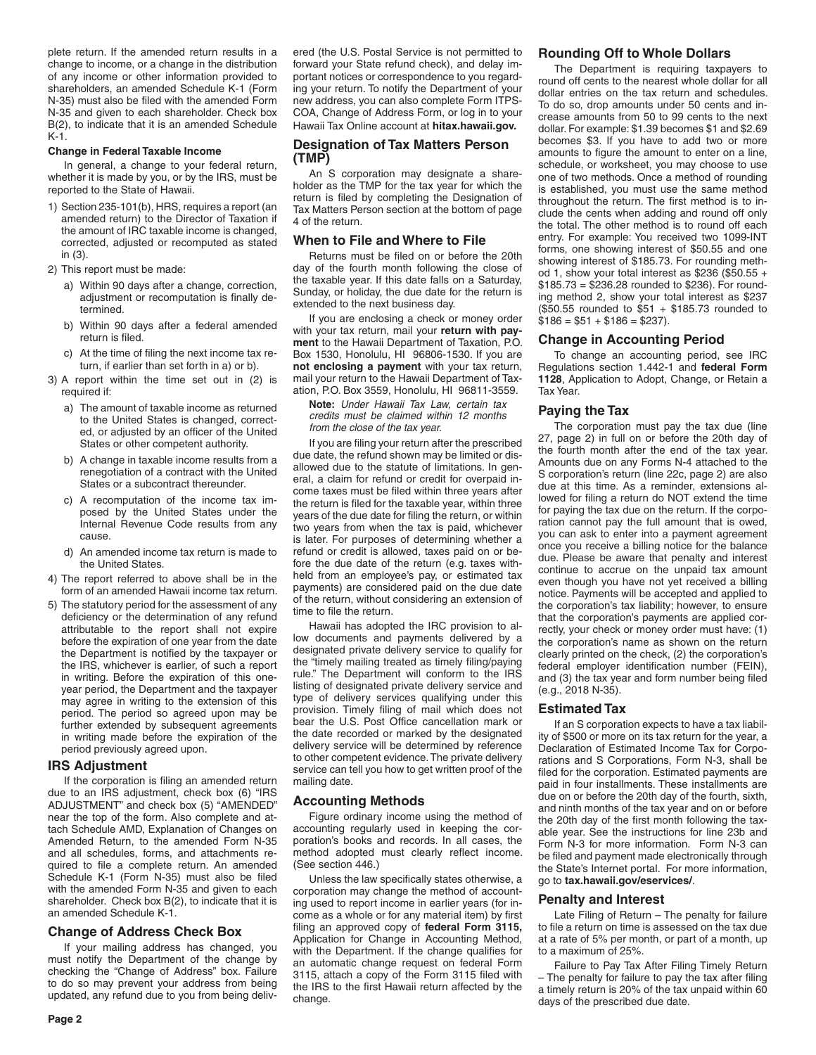plete return. If the amended return results in a change to income, or a change in the distribution of any income or other information provided to shareholders, an amended Schedule K-1 (Form N-35) must also be filed with the amended Form N-35 and given to each shareholder. Check box B(2), to indicate that it is an amended Schedule K-1.

#### **Change in Federal Taxable Income**

In general, a change to your federal return, whether it is made by you, or by the IRS, must be reported to the State of Hawaii.

1) Section 235-101(b), HRS, requires a report (an amended return) to the Director of Taxation if the amount of IRC taxable income is changed, corrected, adjusted or recomputed as stated in (3).

2) This report must be made:

- a) Within 90 days after a change, correction, adjustment or recomputation is finally determined.
- b) Within 90 days after a federal amended return is filed.
- c) At the time of filing the next income tax return, if earlier than set forth in a) or b).
- 3) A report within the time set out in (2) is required if:
	- a) The amount of taxable income as returned to the United States is changed, corrected, or adjusted by an officer of the United States or other competent authority.
	- b) A change in taxable income results from a renegotiation of a contract with the United States or a subcontract thereunder.
	- c) A recomputation of the income tax imposed by the United States under the Internal Revenue Code results from any cause.
	- d) An amended income tax return is made to the United States.
- 4) The report referred to above shall be in the form of an amended Hawaii income tax return.
- 5) The statutory period for the assessment of any deficiency or the determination of any refund attributable to the report shall not expire before the expiration of one year from the date the Department is notified by the taxpayer or the IRS, whichever is earlier, of such a report in writing. Before the expiration of this oneyear period, the Department and the taxpayer may agree in writing to the extension of this period. The period so agreed upon may be further extended by subsequent agreements in writing made before the expiration of the period previously agreed upon.

#### **IRS Adjustment**

If the corporation is filing an amended return due to an IRS adjustment, check box (6) "IRS ADJUSTMENT" and check box (5) "AMENDED" near the top of the form. Also complete and attach Schedule AMD, Explanation of Changes on Amended Return, to the amended Form N-35 and all schedules, forms, and attachments required to file a complete return. An amended Schedule K-1 (Form N-35) must also be filed with the amended Form N-35 and given to each shareholder. Check box B(2), to indicate that it is an amended Schedule K-1.

## **Change of Address Check Box**

If your mailing address has changed, you must notify the Department of the change by checking the "Change of Address" box. Failure to do so may prevent your address from being updated, any refund due to you from being delivered (the U.S. Postal Service is not permitted to forward your State refund check), and delay important notices or correspondence to you regarding your return. To notify the Department of your new address, you can also complete Form ITPS-COA, Change of Address Form, or log in to your Hawaii Tax Online account at **hitax.hawaii.gov.**

## **Designation of Tax Matters Person (TMP)**

An S corporation may designate a shareholder as the TMP for the tax year for which the return is filed by completing the Designation of Tax Matters Person section at the bottom of page 4 of the return.

#### **When to File and Where to File**

Returns must be filed on or before the 20th day of the fourth month following the close of the taxable year. If this date falls on a Saturday, Sunday, or holiday, the due date for the return is extended to the next business day.

If you are enclosing a check or money order with your tax return, mail your **return with payment** to the Hawaii Department of Taxation, P.O. Box 1530, Honolulu, HI 96806-1530. If you are **not enclosing a payment** with your tax return, mail your return to the Hawaii Department of Taxation, P.O. Box 3559, Honolulu, HI 96811-3559.

**Note:** *Under Hawaii Tax Law, certain tax credits must be claimed within 12 months from the close of the tax year.* 

If you are filing your return after the prescribed due date, the refund shown may be limited or disallowed due to the statute of limitations. In general, a claim for refund or credit for overpaid income taxes must be filed within three years after the return is filed for the taxable year, within three years of the due date for filing the return, or within two years from when the tax is paid, whichever is later. For purposes of determining whether a refund or credit is allowed, taxes paid on or before the due date of the return (e.g. taxes withheld from an employee's pay, or estimated tax payments) are considered paid on the due date of the return, without considering an extension of time to file the return.

Hawaii has adopted the IRC provision to allow documents and payments delivered by a designated private delivery service to qualify for the "timely mailing treated as timely filing/paying rule." The Department will conform to the IRS listing of designated private delivery service and type of delivery services qualifying under this provision. Timely filing of mail which does not bear the U.S. Post Office cancellation mark or the date recorded or marked by the designated delivery service will be determined by reference to other competent evidence. The private delivery service can tell you how to get written proof of the mailing date.

## **Accounting Methods**

Figure ordinary income using the method of accounting regularly used in keeping the corporation's books and records. In all cases, the method adopted must clearly reflect income. (See section 446.)

Unless the law specifically states otherwise, a corporation may change the method of accounting used to report income in earlier years (for income as a whole or for any material item) by first filing an approved copy of **federal Form 3115,** Application for Change in Accounting Method, with the Department. If the change qualifies for an automatic change request on federal Form 3115, attach a copy of the Form 3115 filed with the IRS to the first Hawaii return affected by the change.

## **Rounding Off to Whole Dollars**

The Department is requiring taxpayers to round off cents to the nearest whole dollar for all dollar entries on the tax return and schedules. To do so, drop amounts under 50 cents and increase amounts from 50 to 99 cents to the next dollar. For example: \$1.39 becomes \$1 and \$2.69 becomes \$3. If you have to add two or more amounts to figure the amount to enter on a line, schedule, or worksheet, you may choose to use one of two methods. Once a method of rounding is established, you must use the same method throughout the return. The first method is to include the cents when adding and round off only the total. The other method is to round off each entry. For example: You received two 1099-INT forms, one showing interest of \$50.55 and one showing interest of \$185.73. For rounding method 1, show your total interest as \$236 (\$50.55  $+$ \$185.73 = \$236.28 rounded to \$236). For rounding method 2, show your total interest as \$237 (\$50.55 rounded to \$51 + \$185.73 rounded to  $$186 = $51 + $186 = $237$ ).

## **Change in Accounting Period**

To change an accounting period, see IRC Regulations section 1.442-1 and **federal Form 1128**, Application to Adopt, Change, or Retain a Tax Year.

## **Paying the Tax**

The corporation must pay the tax due (line 27, page 2) in full on or before the 20th day of the fourth month after the end of the tax year. Amounts due on any Forms N-4 attached to the S corporation's return (line 22c, page 2) are also due at this time. As a reminder, extensions allowed for filing a return do NOT extend the time for paying the tax due on the return. If the corporation cannot pay the full amount that is owed, you can ask to enter into a payment agreement once you receive a billing notice for the balance due. Please be aware that penalty and interest continue to accrue on the unpaid tax amount even though you have not yet received a billing notice. Payments will be accepted and applied to the corporation's tax liability; however, to ensure that the corporation's payments are applied correctly, your check or money order must have: (1) the corporation's name as shown on the return clearly printed on the check, (2) the corporation's federal employer identification number (FEIN), and (3) the tax year and form number being filed (e.g., 2018 N-35).

## **Estimated Tax**

If an S corporation expects to have a tax liability of \$500 or more on its tax return for the year, a Declaration of Estimated Income Tax for Corporations and S Corporations, Form N-3, shall be filed for the corporation. Estimated payments are paid in four installments. These installments are due on or before the 20th day of the fourth, sixth, and ninth months of the tax year and on or before the 20th day of the first month following the taxable year. See the instructions for line 23b and Form N-3 for more information. Form N-3 can be filed and payment made electronically through the State's Internet portal. For more information, go to **tax.hawaii.gov/eservices/**.

#### **Penalty and Interest**

Late Filing of Return – The penalty for failure to file a return on time is assessed on the tax due at a rate of 5% per month, or part of a month, up to a maximum of 25%.

Failure to Pay Tax After Filing Timely Return – The penalty for failure to pay the tax after filing a timely return is 20% of the tax unpaid within 60 days of the prescribed due date.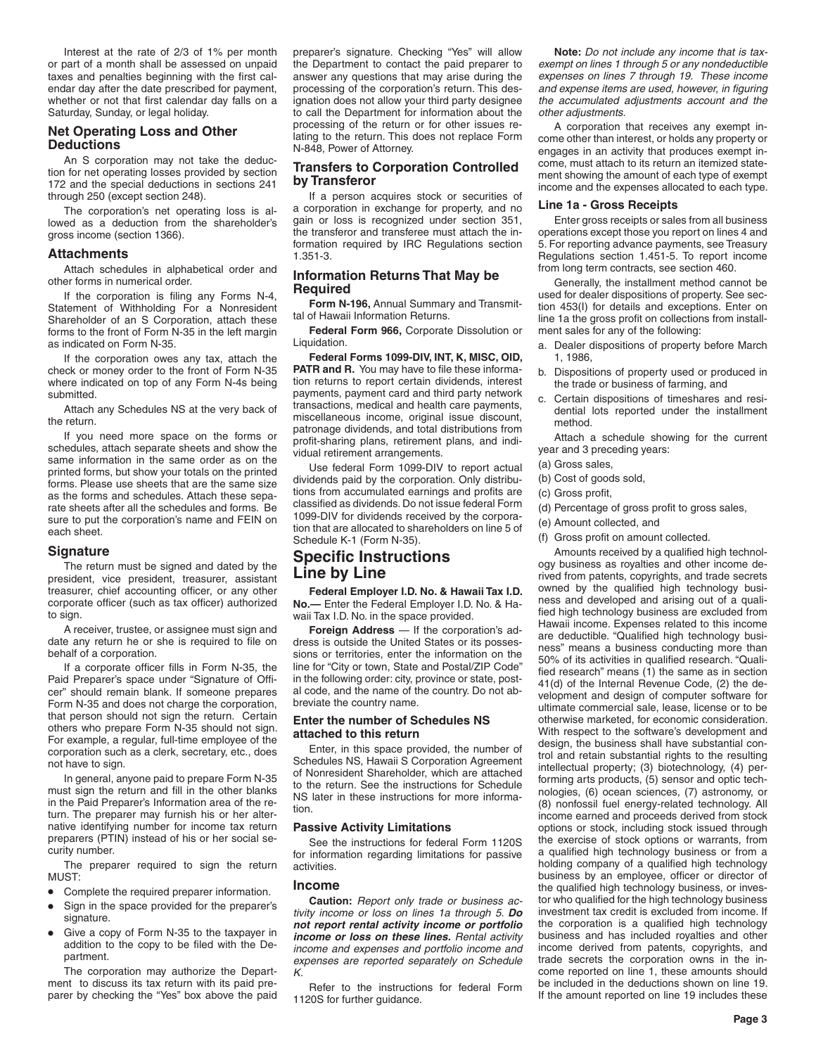Interest at the rate of 2/3 of 1% per month or part of a month shall be assessed on unpaid taxes and penalties beginning with the first calendar day after the date prescribed for payment, whether or not that first calendar day falls on a Saturday, Sunday, or legal holiday.

## **Net Operating Loss and Other Deductions**

An S corporation may not take the deduction for net operating losses provided by section 172 and the special deductions in sections 241 through 250 (except section 248).

The corporation's net operating loss is allowed as a deduction from the shareholder's gross income (section 1366).

## **Attachments**

Attach schedules in alphabetical order and other forms in numerical order.

If the corporation is filing any Forms N-4, Statement of Withholding For a Nonresident Shareholder of an S Corporation, attach these forms to the front of Form N-35 in the left margin as indicated on Form N-35.

If the corporation owes any tax, attach the check or money order to the front of Form N-35 where indicated on top of any Form N-4s being submitted.

Attach any Schedules NS at the very back of the return.

If you need more space on the forms or schedules, attach separate sheets and show the same information in the same order as on the printed forms, but show your totals on the printed forms. Please use sheets that are the same size as the forms and schedules. Attach these separate sheets after all the schedules and forms. Be sure to put the corporation's name and FEIN on each sheet.

#### **Signature**

The return must be signed and dated by the president, vice president, treasurer, assistant treasurer, chief accounting officer, or any other corporate officer (such as tax officer) authorized to sign.

A receiver, trustee, or assignee must sign and date any return he or she is required to file on behalf of a corporation.

If a corporate officer fills in Form N-35, the Paid Preparer's space under "Signature of Officer" should remain blank. If someone prepares Form N-35 and does not charge the corporation, that person should not sign the return. Certain others who prepare Form N-35 should not sign. For example, a regular, full-time employee of the corporation such as a clerk, secretary, etc., does not have to sign.

In general, anyone paid to prepare Form N-35 must sign the return and fill in the other blanks in the Paid Preparer's Information area of the return. The preparer may furnish his or her alternative identifying number for income tax return preparers (PTIN) instead of his or her social security number.

The preparer required to sign the return MUST:

- Complete the required preparer information.
- Sign in the space provided for the preparer's signature.
- Give a copy of Form N-35 to the taxpayer in addition to the copy to be filed with the Department.

The corporation may authorize the Department to discuss its tax return with its paid preparer by checking the "Yes" box above the paid preparer's signature. Checking "Yes" will allow the Department to contact the paid preparer to answer any questions that may arise during the processing of the corporation's return. This designation does not allow your third party designee to call the Department for information about the processing of the return or for other issues relating to the return. This does not replace Form N-848, Power of Attorney.

## **Transfers to Corporation Controlled by Transferor**

If a person acquires stock or securities of a corporation in exchange for property, and no gain or loss is recognized under section 351, the transferor and transferee must attach the information required by IRC Regulations section 1.351-3.

## **Information Returns That May be Required**

**Form N-196,** Annual Summary and Transmittal of Hawaii Information Returns.

**Federal Form 966,** Corporate Dissolution or Liquidation.

**Federal Forms 1099-DIV, INT, K, MISC, OID, PATR and R.** You may have to file these information returns to report certain dividends, interest payments, payment card and third party network transactions, medical and health care payments, miscellaneous income, original issue discount, patronage dividends, and total distributions from profit-sharing plans, retirement plans, and individual retirement arrangements.

Use federal Form 1099-DIV to report actual dividends paid by the corporation. Only distributions from accumulated earnings and profits are classified as dividends. Do not issue federal Form 1099-DIV for dividends received by the corporation that are allocated to shareholders on line 5 of Schedule K-1 (Form N-35).

## **Specific Instructions Line by Line**

**Federal Employer I.D. No. & Hawaii Tax I.D. No.—** Enter the Federal Employer I.D. No. & Hawaii Tax I.D. No. in the space provided.

**Foreign Address** — If the corporation's address is outside the United States or its possessions or territories, enter the information on the line for "City or town, State and Postal/ZIP Code" in the following order: city, province or state, postal code, and the name of the country. Do not abbreviate the country name.

#### **Enter the number of Schedules NS attached to this return**

Enter, in this space provided, the number of Schedules NS, Hawaii S Corporation Agreement of Nonresident Shareholder, which are attached to the return. See the instructions for Schedule NS later in these instructions for more information.

## **Passive Activity Limitations**

See the instructions for federal Form 1120S for information regarding limitations for passive activities.

#### **Income**

**Caution:** *Report only trade or business activity income or loss on lines 1a through 5. Do not report rental activity income or portfolio income or loss on these lines. Rental activity income and expenses and portfolio income and expenses are reported separately on Schedule K.*

Refer to the instructions for federal Form 1120S for further guidance.

**Note:** *Do not include any income that is taxexempt on lines 1 through 5 or any nondeductible expenses on lines 7 through 19. These income and expense items are used, however, in figuring the accumulated adjustments account and the other adjustments.*

A corporation that receives any exempt income other than interest, or holds any property or engages in an activity that produces exempt income, must attach to its return an itemized statement showing the amount of each type of exempt income and the expenses allocated to each type.

#### **Line 1a - Gross Receipts**

Enter gross receipts or sales from all business operations except those you report on lines 4 and 5. For reporting advance payments, see Treasury Regulations section 1.451-5. To report income from long term contracts, see section 460.

Generally, the installment method cannot be used for dealer dispositions of property. See section 453(I) for details and exceptions. Enter on line 1a the gross profit on collections from installment sales for any of the following:

- a. Dealer dispositions of property before March 1, 1986,
- b. Dispositions of property used or produced in the trade or business of farming, and
- c. Certain dispositions of timeshares and residential lots reported under the installment method.

Attach a schedule showing for the current year and 3 preceding years:

- (a) Gross sales,
- (b) Cost of goods sold,
- (c) Gross profit,
- (d) Percentage of gross profit to gross sales,
- (e) Amount collected, and
- (f) Gross profit on amount collected.

Amounts received by a qualified high technology business as royalties and other income derived from patents, copyrights, and trade secrets owned by the qualified high technology business and developed and arising out of a qualified high technology business are excluded from Hawaii income. Expenses related to this income are deductible. "Qualified high technology business" means a business conducting more than 50% of its activities in qualified research. "Qualified research" means (1) the same as in section 41(d) of the Internal Revenue Code, (2) the development and design of computer software for ultimate commercial sale, lease, license or to be otherwise marketed, for economic consideration. With respect to the software's development and design, the business shall have substantial control and retain substantial rights to the resulting intellectual property; (3) biotechnology, (4) performing arts products, (5) sensor and optic technologies, (6) ocean sciences, (7) astronomy, or (8) nonfossil fuel energy-related technology. All income earned and proceeds derived from stock options or stock, including stock issued through the exercise of stock options or warrants, from a qualified high technology business or from a holding company of a qualified high technology business by an employee, officer or director of the qualified high technology business, or investor who qualified for the high technology business investment tax credit is excluded from income. If the corporation is a qualified high technology business and has included royalties and other income derived from patents, copyrights, and trade secrets the corporation owns in the income reported on line 1, these amounts should be included in the deductions shown on line 19. If the amount reported on line 19 includes these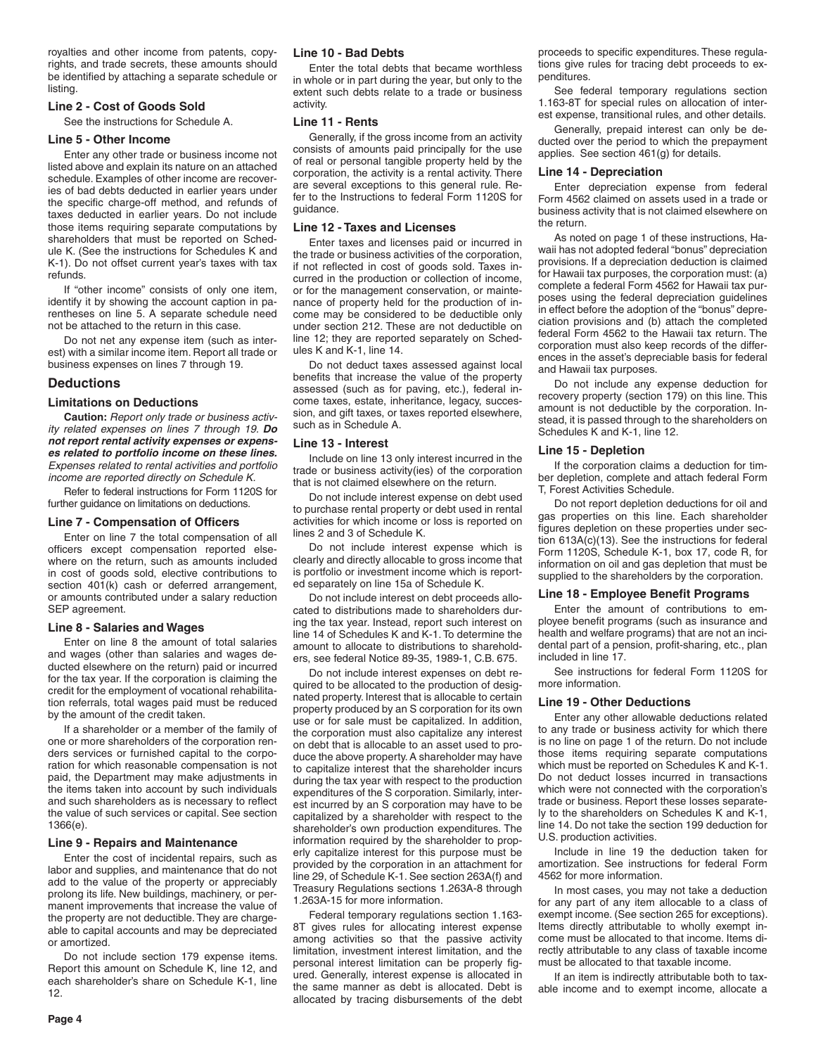royalties and other income from patents, copyrights, and trade secrets, these amounts should be identified by attaching a separate schedule or listing.

## **Line 2 - Cost of Goods Sold**

See the instructions for Schedule A.

## **Line 5 - Other Income**

Enter any other trade or business income not listed above and explain its nature on an attached schedule. Examples of other income are recoveries of bad debts deducted in earlier years under the specific charge-off method, and refunds of taxes deducted in earlier years. Do not include those items requiring separate computations by shareholders that must be reported on Schedule K. (See the instructions for Schedules K and K-1). Do not offset current year's taxes with tax refunds.

If "other income" consists of only one item, identify it by showing the account caption in parentheses on line 5. A separate schedule need not be attached to the return in this case.

Do not net any expense item (such as interest) with a similar income item. Report all trade or business expenses on lines 7 through 19.

## **Deductions**

#### **Limitations on Deductions**

**Caution:** *Report only trade or business activity related expenses on lines 7 through 19. Do not report rental activity expenses or expenses related to portfolio income on these lines. Expenses related to rental activities and portfolio income are reported directly on Schedule K.*

Refer to federal instructions for Form 1120S for further guidance on limitations on deductions.

#### **Line 7 - Compensation of Officers**

Enter on line 7 the total compensation of all officers except compensation reported elsewhere on the return, such as amounts included in cost of goods sold, elective contributions to section 401(k) cash or deferred arrangement, or amounts contributed under a salary reduction SEP agreement.

#### **Line 8 - Salaries and Wages**

Enter on line 8 the amount of total salaries and wages (other than salaries and wages deducted elsewhere on the return) paid or incurred for the tax year. If the corporation is claiming the credit for the employment of vocational rehabilitation referrals, total wages paid must be reduced by the amount of the credit taken.

If a shareholder or a member of the family of one or more shareholders of the corporation renders services or furnished capital to the corporation for which reasonable compensation is not paid, the Department may make adjustments in the items taken into account by such individuals and such shareholders as is necessary to reflect the value of such services or capital. See section 1366(e).

#### **Line 9 - Repairs and Maintenance**

Enter the cost of incidental repairs, such as labor and supplies, and maintenance that do not add to the value of the property or appreciably prolong its life. New buildings, machinery, or permanent improvements that increase the value of the property are not deductible. They are chargeable to capital accounts and may be depreciated or amortized.

Do not include section 179 expense items. Report this amount on Schedule K, line 12, and each shareholder's share on Schedule K-1, line 12.

#### **Line 10 - Bad Debts**

Enter the total debts that became worthless in whole or in part during the year, but only to the extent such debts relate to a trade or business activity.

#### **Line 11 - Rents**

Generally, if the gross income from an activity consists of amounts paid principally for the use of real or personal tangible property held by the corporation, the activity is a rental activity. There are several exceptions to this general rule. Refer to the Instructions to federal Form 1120S for guidance.

#### **Line 12 - Taxes and Licenses**

Enter taxes and licenses paid or incurred in the trade or business activities of the corporation, if not reflected in cost of goods sold. Taxes incurred in the production or collection of income, or for the management conservation, or maintenance of property held for the production of income may be considered to be deductible only under section 212. These are not deductible on line 12; they are reported separately on Schedules K and K-1, line 14.

Do not deduct taxes assessed against local benefits that increase the value of the property assessed (such as for paving, etc.), federal income taxes, estate, inheritance, legacy, succession, and gift taxes, or taxes reported elsewhere, such as in Schedule A.

#### **Line 13 - Interest**

Include on line 13 only interest incurred in the trade or business activity(ies) of the corporation that is not claimed elsewhere on the return.

Do not include interest expense on debt used to purchase rental property or debt used in rental activities for which income or loss is reported on lines 2 and 3 of Schedule K.

Do not include interest expense which is clearly and directly allocable to gross income that is portfolio or investment income which is reported separately on line 15a of Schedule K.

Do not include interest on debt proceeds allocated to distributions made to shareholders during the tax year. Instead, report such interest on line 14 of Schedules K and K-1. To determine the amount to allocate to distributions to shareholders, see federal Notice 89-35, 1989-1, C.B. 675.

Do not include interest expenses on debt required to be allocated to the production of designated property. Interest that is allocable to certain property produced by an S corporation for its own use or for sale must be capitalized. In addition, the corporation must also capitalize any interest on debt that is allocable to an asset used to produce the above property. A shareholder may have to capitalize interest that the shareholder incurs during the tax year with respect to the production expenditures of the S corporation. Similarly, interest incurred by an S corporation may have to be capitalized by a shareholder with respect to the shareholder's own production expenditures. The information required by the shareholder to properly capitalize interest for this purpose must be provided by the corporation in an attachment for line 29, of Schedule K-1. See section 263A(f) and Treasury Regulations sections 1.263A-8 through 1.263A-15 for more information.

Federal temporary regulations section 1.163- 8T gives rules for allocating interest expense among activities so that the passive activity limitation, investment interest limitation, and the personal interest limitation can be properly figured. Generally, interest expense is allocated in the same manner as debt is allocated. Debt is allocated by tracing disbursements of the debt proceeds to specific expenditures. These regulations give rules for tracing debt proceeds to expenditures.

See federal temporary regulations section 1.163-8T for special rules on allocation of interest expense, transitional rules, and other details.

Generally, prepaid interest can only be deducted over the period to which the prepayment applies. See section 461(g) for details.

#### **Line 14 - Depreciation**

Enter depreciation expense from federal Form 4562 claimed on assets used in a trade or business activity that is not claimed elsewhere on the return.

As noted on page 1 of these instructions, Hawaii has not adopted federal "bonus" depreciation provisions. If a depreciation deduction is claimed for Hawaii tax purposes, the corporation must: (a) complete a federal Form 4562 for Hawaii tax purposes using the federal depreciation guidelines in effect before the adoption of the "bonus" depreciation provisions and (b) attach the completed federal Form 4562 to the Hawaii tax return. The corporation must also keep records of the differences in the asset's depreciable basis for federal and Hawaii tax purposes.

Do not include any expense deduction for recovery property (section 179) on this line. This amount is not deductible by the corporation. Instead, it is passed through to the shareholders on Schedules K and K-1, line 12.

#### **Line 15 - Depletion**

If the corporation claims a deduction for timber depletion, complete and attach federal Form T, Forest Activities Schedule.

Do not report depletion deductions for oil and gas properties on this line. Each shareholder figures depletion on these properties under section 613A(c)(13). See the instructions for federal Form 1120S, Schedule K-1, box 17, code R, for information on oil and gas depletion that must be supplied to the shareholders by the corporation.

#### **Line 18 - Employee Benefit Programs**

Enter the amount of contributions to employee benefit programs (such as insurance and health and welfare programs) that are not an incidental part of a pension, profit-sharing, etc., plan included in line 17.

See instructions for federal Form 1120S for more information.

#### **Line 19 - Other Deductions**

Enter any other allowable deductions related to any trade or business activity for which there is no line on page 1 of the return. Do not include those items requiring separate computations which must be reported on Schedules K and K-1. Do not deduct losses incurred in transactions which were not connected with the corporation's trade or business. Report these losses separately to the shareholders on Schedules K and K-1, line 14. Do not take the section 199 deduction for U.S. production activities.

Include in line 19 the deduction taken for amortization. See instructions for federal Form 4562 for more information.

In most cases, you may not take a deduction for any part of any item allocable to a class of exempt income. (See section 265 for exceptions). Items directly attributable to wholly exempt income must be allocated to that income. Items directly attributable to any class of taxable income must be allocated to that taxable income.

If an item is indirectly attributable both to taxable income and to exempt income, allocate a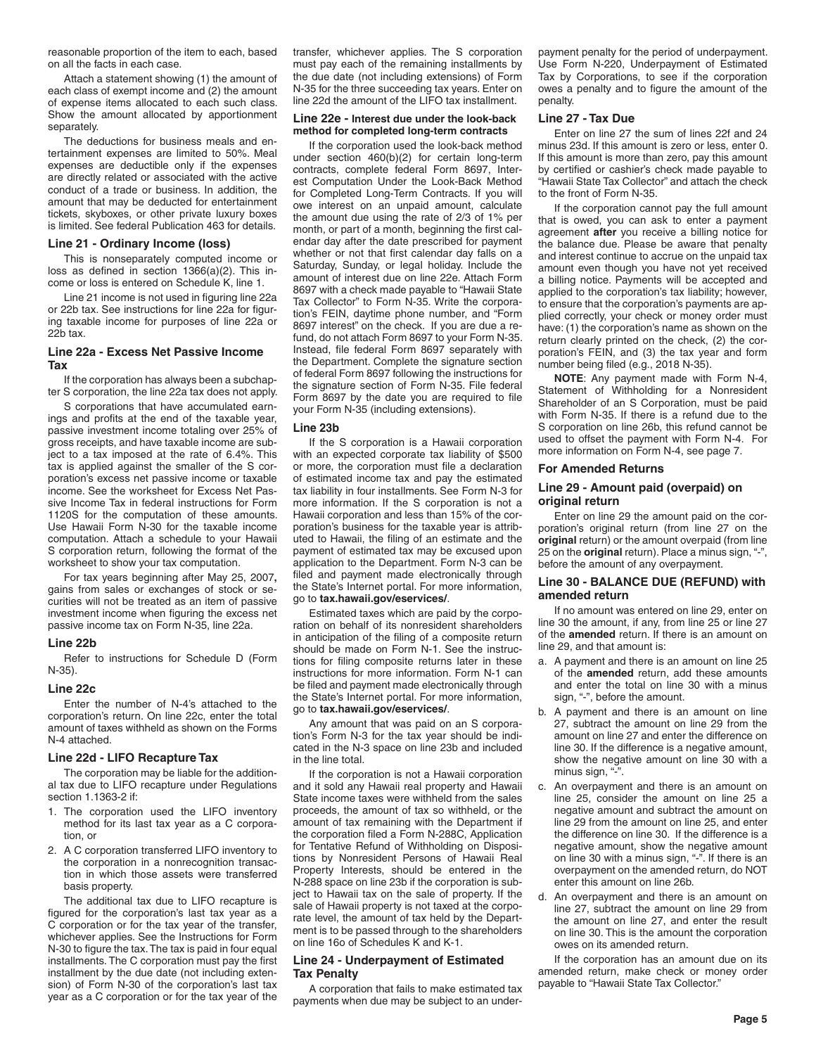reasonable proportion of the item to each, based on all the facts in each case.

Attach a statement showing (1) the amount of each class of exempt income and (2) the amount of expense items allocated to each such class. Show the amount allocated by apportionment separately.

The deductions for business meals and entertainment expenses are limited to 50%. Meal expenses are deductible only if the expenses are directly related or associated with the active conduct of a trade or business. In addition, the amount that may be deducted for entertainment tickets, skyboxes, or other private luxury boxes is limited. See federal Publication 463 for details.

#### **Line 21 - Ordinary Income (loss)**

This is nonseparately computed income or loss as defined in section 1366(a)(2). This income or loss is entered on Schedule K, line 1.

Line 21 income is not used in figuring line 22a or 22b tax. See instructions for line 22a for figuring taxable income for purposes of line 22a or 22b tax.

## **Line 22a - Excess Net Passive Income Tax**

If the corporation has always been a subchapter S corporation, the line 22a tax does not apply.

S corporations that have accumulated earnings and profits at the end of the taxable year, passive investment income totaling over 25% of gross receipts, and have taxable income are subject to a tax imposed at the rate of 6.4%. This tax is applied against the smaller of the S corporation's excess net passive income or taxable income. See the worksheet for Excess Net Passive Income Tax in federal instructions for Form 1120S for the computation of these amounts. Use Hawaii Form N-30 for the taxable income computation. Attach a schedule to your Hawaii S corporation return, following the format of the worksheet to show your tax computation.

For tax years beginning after May 25, 2007**,** gains from sales or exchanges of stock or securities will not be treated as an item of passive investment income when figuring the excess net passive income tax on Form N-35, line 22a.

#### **Line 22b**

Refer to instructions for Schedule D (Form N-35).

#### **Line 22c**

Enter the number of N-4's attached to the corporation's return. On line 22c, enter the total amount of taxes withheld as shown on the Forms N-4 attached.

#### **Line 22d - LIFO Recapture Tax**

The corporation may be liable for the additional tax due to LIFO recapture under Regulations section 1.1363-2 if:

- 1. The corporation used the LIFO inventory method for its last tax year as a C corporation, or
- 2. A C corporation transferred LIFO inventory to the corporation in a nonrecognition transaction in which those assets were transferred basis property.

The additional tax due to LIFO recapture is figured for the corporation's last tax year as a C corporation or for the tax year of the transfer, whichever applies. See the Instructions for Form N-30 to figure the tax. The tax is paid in four equal installments. The C corporation must pay the first installment by the due date (not including extension) of Form N-30 of the corporation's last tax year as a C corporation or for the tax year of the

transfer, whichever applies. The S corporation must pay each of the remaining installments by the due date (not including extensions) of Form N-35 for the three succeeding tax years. Enter on line 22d the amount of the LIFO tax installment.

#### **Line 22e - Interest due under the look-back method for completed long-term contracts**

If the corporation used the look-back method under section 460(b)(2) for certain long-term contracts, complete federal Form 8697, Interest Computation Under the Look-Back Method for Completed Long-Term Contracts. If you will owe interest on an unpaid amount, calculate the amount due using the rate of 2/3 of 1% per month, or part of a month, beginning the first calendar day after the date prescribed for payment whether or not that first calendar day falls on a Saturday, Sunday, or legal holiday. Include the amount of interest due on line 22e. Attach Form 8697 with a check made payable to "Hawaii State Tax Collector" to Form N-35. Write the corporation's FEIN, daytime phone number, and "Form 8697 interest" on the check. If you are due a refund, do not attach Form 8697 to your Form N-35. Instead, file federal Form 8697 separately with the Department. Complete the signature section of federal Form 8697 following the instructions for the signature section of Form N-35. File federal Form 8697 by the date you are required to file your Form N-35 (including extensions).

#### **Line 23b**

If the S corporation is a Hawaii corporation with an expected corporate tax liability of \$500 or more, the corporation must file a declaration of estimated income tax and pay the estimated tax liability in four installments. See Form N-3 for more information. If the S corporation is not a Hawaii corporation and less than 15% of the corporation's business for the taxable year is attributed to Hawaii, the filing of an estimate and the payment of estimated tax may be excused upon application to the Department. Form N-3 can be filed and payment made electronically through the State's Internet portal. For more information, go to **tax.hawaii.gov/eservices/**.

Estimated taxes which are paid by the corporation on behalf of its nonresident shareholders in anticipation of the filing of a composite return should be made on Form N-1. See the instructions for filing composite returns later in these instructions for more information. Form N-1 can be filed and payment made electronically through the State's Internet portal. For more information, go to **tax.hawaii.gov/eservices/**.

Any amount that was paid on an S corporation's Form N-3 for the tax year should be indicated in the N-3 space on line 23b and included in the line total.

If the corporation is not a Hawaii corporation and it sold any Hawaii real property and Hawaii State income taxes were withheld from the sales proceeds, the amount of tax so withheld, or the amount of tax remaining with the Department if the corporation filed a Form N-288C, Application for Tentative Refund of Withholding on Dispositions by Nonresident Persons of Hawaii Real Property Interests, should be entered in the N-288 space on line 23b if the corporation is subject to Hawaii tax on the sale of property. If the sale of Hawaii property is not taxed at the corporate level, the amount of tax held by the Department is to be passed through to the shareholders on line 16o of Schedules K and K-1.

#### **Line 24 - Underpayment of Estimated Tax Penalty**

A corporation that fails to make estimated tax payments when due may be subject to an underpayment penalty for the period of underpayment. Use Form N-220, Underpayment of Estimated Tax by Corporations, to see if the corporation owes a penalty and to figure the amount of the penalty.

#### **Line 27 - Tax Due**

Enter on line 27 the sum of lines 22f and 24 minus 23d. If this amount is zero or less, enter 0. If this amount is more than zero, pay this amount by certified or cashier's check made payable to "Hawaii State Tax Collector" and attach the check to the front of Form N-35.

If the corporation cannot pay the full amount that is owed, you can ask to enter a payment agreement **after** you receive a billing notice for the balance due. Please be aware that penalty and interest continue to accrue on the unpaid tax amount even though you have not yet received a billing notice. Payments will be accepted and applied to the corporation's tax liability; however, to ensure that the corporation's payments are applied correctly, your check or money order must have: (1) the corporation's name as shown on the return clearly printed on the check, (2) the corporation's FEIN, and (3) the tax year and form number being filed (e.g., 2018 N-35).

**NOTE**: Any payment made with Form N-4, Statement of Withholding for a Nonresident Shareholder of an S Corporation, must be paid with Form N-35. If there is a refund due to the S corporation on line 26b, this refund cannot be used to offset the payment with Form N-4. For more information on Form N-4, see page 7.

#### **For Amended Returns**

## **Line 29 - Amount paid (overpaid) on original return**

Enter on line 29 the amount paid on the corporation's original return (from line 27 on the **original** return) or the amount overpaid (from line 25 on the **original** return). Place a minus sign, "-", before the amount of any overpayment.

## **Line 30 - BALANCE DUE (REFUND) with amended return**

If no amount was entered on line 29, enter on line 30 the amount, if any, from line 25 or line 27 of the **amended** return. If there is an amount on line 29, and that amount is:

- a. A payment and there is an amount on line 25 of the **amended** return, add these amounts and enter the total on line 30 with a minus sign, "-", before the amount.
- b. A payment and there is an amount on line 27, subtract the amount on line 29 from the amount on line 27 and enter the difference on line 30. If the difference is a negative amount, show the negative amount on line 30 with a minus sign, "-".
- c. An overpayment and there is an amount on line 25, consider the amount on line 25 a negative amount and subtract the amount on line 29 from the amount on line 25, and enter the difference on line 30. If the difference is a negative amount, show the negative amount on line 30 with a minus sign, "-". If there is an overpayment on the amended return, do NOT enter this amount on line 26b.
- d. An overpayment and there is an amount on line 27, subtract the amount on line 29 from the amount on line 27, and enter the result on line 30. This is the amount the corporation owes on its amended return.

If the corporation has an amount due on its amended return, make check or money order payable to "Hawaii State Tax Collector."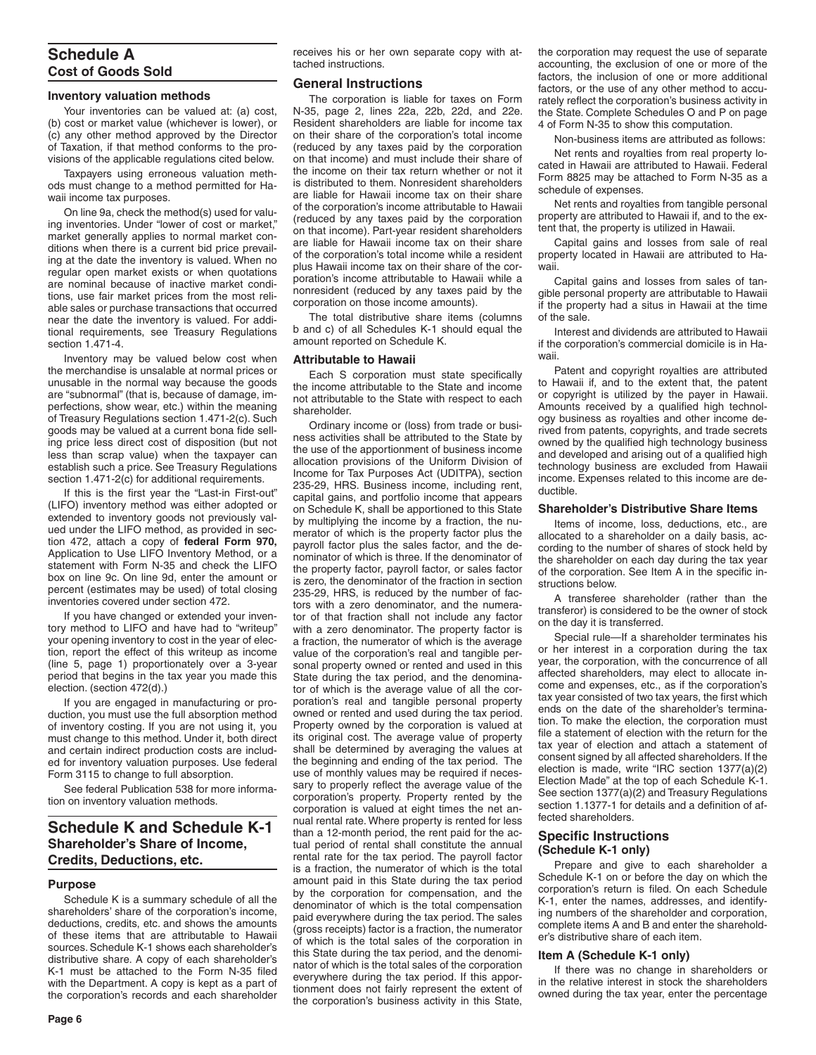# **Schedule A Cost of Goods Sold**

## **Inventory valuation methods**

Your inventories can be valued at: (a) cost, (b) cost or market value (whichever is lower), or (c) any other method approved by the Director of Taxation, if that method conforms to the provisions of the applicable regulations cited below.

Taxpayers using erroneous valuation methods must change to a method permitted for Hawaii income tax purposes.

On line 9a, check the method(s) used for valuing inventories. Under "lower of cost or market," market generally applies to normal market conditions when there is a current bid price prevailing at the date the inventory is valued. When no regular open market exists or when quotations are nominal because of inactive market conditions, use fair market prices from the most reliable sales or purchase transactions that occurred near the date the inventory is valued. For additional requirements, see Treasury Regulations section 1.471-4.

Inventory may be valued below cost when the merchandise is unsalable at normal prices or unusable in the normal way because the goods are "subnormal" (that is, because of damage, imperfections, show wear, etc.) within the meaning of Treasury Regulations section 1.471-2(c). Such goods may be valued at a current bona fide selling price less direct cost of disposition (but not less than scrap value) when the taxpayer can establish such a price. See Treasury Regulations section 1.471-2(c) for additional requirements.

If this is the first year the "Last-in First-out" (LIFO) inventory method was either adopted or extended to inventory goods not previously valued under the LIFO method, as provided in section 472, attach a copy of **federal Form 970,** Application to Use LIFO Inventory Method, or a statement with Form N-35 and check the LIFO box on line 9c. On line 9d, enter the amount or percent (estimates may be used) of total closing inventories covered under section 472.

If you have changed or extended your inventory method to LIFO and have had to "writeup" your opening inventory to cost in the year of election, report the effect of this writeup as income (line 5, page 1) proportionately over a 3-year period that begins in the tax year you made this election. (section 472(d).)

If you are engaged in manufacturing or production, you must use the full absorption method of inventory costing. If you are not using it, you must change to this method. Under it, both direct and certain indirect production costs are included for inventory valuation purposes. Use federal Form 3115 to change to full absorption.

See federal Publication 538 for more information on inventory valuation methods.

# **Schedule K and Schedule K-1 Shareholder's Share of Income, Credits, Deductions, etc.**

#### **Purpose**

Schedule K is a summary schedule of all the shareholders' share of the corporation's income, deductions, credits, etc. and shows the amounts of these items that are attributable to Hawaii sources. Schedule K-1 shows each shareholder's distributive share. A copy of each shareholder's K-1 must be attached to the Form N-35 filed with the Department. A copy is kept as a part of the corporation's records and each shareholder receives his or her own separate copy with attached instructions.

## **General Instructions**

The corporation is liable for taxes on Form N-35, page 2, lines 22a, 22b, 22d, and 22e. Resident shareholders are liable for income tax on their share of the corporation's total income (reduced by any taxes paid by the corporation on that income) and must include their share of the income on their tax return whether or not it is distributed to them. Nonresident shareholders are liable for Hawaii income tax on their share of the corporation's income attributable to Hawaii (reduced by any taxes paid by the corporation on that income). Part-year resident shareholders are liable for Hawaii income tax on their share of the corporation's total income while a resident plus Hawaii income tax on their share of the corporation's income attributable to Hawaii while a nonresident (reduced by any taxes paid by the corporation on those income amounts).

The total distributive share items (columns b and c) of all Schedules K-1 should equal the amount reported on Schedule K.

## **Attributable to Hawaii**

Each S corporation must state specifically the income attributable to the State and income not attributable to the State with respect to each shareholder.

Ordinary income or (loss) from trade or business activities shall be attributed to the State by the use of the apportionment of business income allocation provisions of the Uniform Division of Income for Tax Purposes Act (UDITPA), section 235-29, HRS. Business income, including rent, capital gains, and portfolio income that appears on Schedule K, shall be apportioned to this State by multiplying the income by a fraction, the numerator of which is the property factor plus the payroll factor plus the sales factor, and the denominator of which is three. If the denominator of the property factor, payroll factor, or sales factor is zero, the denominator of the fraction in section 235-29, HRS, is reduced by the number of factors with a zero denominator, and the numerator of that fraction shall not include any factor with a zero denominator. The property factor is a fraction, the numerator of which is the average value of the corporation's real and tangible personal property owned or rented and used in this State during the tax period, and the denominator of which is the average value of all the corporation's real and tangible personal property owned or rented and used during the tax period. Property owned by the corporation is valued at its original cost. The average value of property shall be determined by averaging the values at the beginning and ending of the tax period. The use of monthly values may be required if necessary to properly reflect the average value of the corporation's property. Property rented by the corporation is valued at eight times the net annual rental rate. Where property is rented for less than a 12-month period, the rent paid for the actual period of rental shall constitute the annual rental rate for the tax period. The payroll factor is a fraction, the numerator of which is the total amount paid in this State during the tax period by the corporation for compensation, and the denominator of which is the total compensation paid everywhere during the tax period. The sales (gross receipts) factor is a fraction, the numerator of which is the total sales of the corporation in this State during the tax period, and the denominator of which is the total sales of the corporation everywhere during the tax period. If this apportionment does not fairly represent the extent of the corporation's business activity in this State, the corporation may request the use of separate accounting, the exclusion of one or more of the factors, the inclusion of one or more additional factors, or the use of any other method to accurately reflect the corporation's business activity in the State. Complete Schedules O and P on page 4 of Form N-35 to show this computation.

Non-business items are attributed as follows:

Net rents and royalties from real property located in Hawaii are attributed to Hawaii. Federal Form 8825 may be attached to Form N-35 as a schedule of expenses.

Net rents and royalties from tangible personal property are attributed to Hawaii if, and to the extent that, the property is utilized in Hawaii.

Capital gains and losses from sale of real property located in Hawaii are attributed to Hawaii.

Capital gains and losses from sales of tangible personal property are attributable to Hawaii if the property had a situs in Hawaii at the time of the sale.

Interest and dividends are attributed to Hawaii if the corporation's commercial domicile is in Hawaii.

Patent and copyright royalties are attributed to Hawaii if, and to the extent that, the patent or copyright is utilized by the payer in Hawaii. Amounts received by a qualified high technology business as royalties and other income derived from patents, copyrights, and trade secrets owned by the qualified high technology business and developed and arising out of a qualified high technology business are excluded from Hawaii income. Expenses related to this income are deductible.

## **Shareholder's Distributive Share Items**

Items of income, loss, deductions, etc., are allocated to a shareholder on a daily basis, according to the number of shares of stock held by the shareholder on each day during the tax year of the corporation. See Item A in the specific instructions below.

A transferee shareholder (rather than the transferor) is considered to be the owner of stock on the day it is transferred.

Special rule—If a shareholder terminates his or her interest in a corporation during the tax year, the corporation, with the concurrence of all affected shareholders, may elect to allocate income and expenses, etc., as if the corporation's tax year consisted of two tax years, the first which ends on the date of the shareholder's termination. To make the election, the corporation must file a statement of election with the return for the tax year of election and attach a statement of consent signed by all affected shareholders. If the election is made, write "IRC section 1377(a)(2) Election Made" at the top of each Schedule K-1. See section 1377(a)(2) and Treasury Regulations section 1.1377-1 for details and a definition of affected shareholders.

## **Specific Instructions (Schedule K-1 only)**

Prepare and give to each shareholder a Schedule K-1 on or before the day on which the corporation's return is filed. On each Schedule K-1, enter the names, addresses, and identifying numbers of the shareholder and corporation, complete items A and B and enter the shareholder's distributive share of each item.

#### **Item A (Schedule K-1 only)**

If there was no change in shareholders or in the relative interest in stock the shareholders owned during the tax year, enter the percentage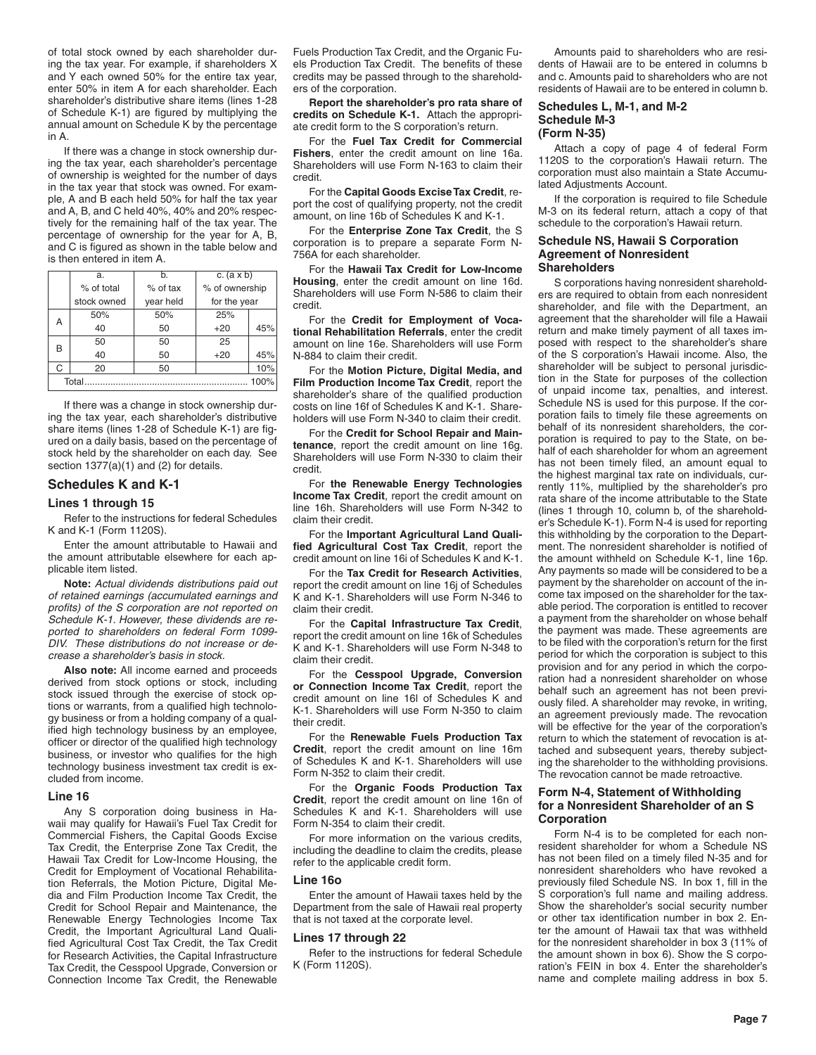of total stock owned by each shareholder during the tax year. For example, if shareholders X and Y each owned 50% for the entire tax year, enter 50% in item A for each shareholder. Each shareholder's distributive share items (lines 1-28 of Schedule K-1) are figured by multiplying the annual amount on Schedule K by the percentage in A.

If there was a change in stock ownership during the tax year, each shareholder's percentage of ownership is weighted for the number of days in the tax year that stock was owned. For example, A and B each held 50% for half the tax year and A, B, and C held 40%, 40% and 20% respectively for the remaining half of the tax year. The percentage of ownership for the year for A, B, and C is figured as shown in the table below and is then entered in item A.

| a.            | b.         | c. $(a \times b)$ |     |  |
|---------------|------------|-------------------|-----|--|
| % of total    | $%$ of tax | % of ownership    |     |  |
| stock owned   | year held  | for the year      |     |  |
| 50%           | 50%        | 25%               |     |  |
| 40            | 50         | $+20$             | 45% |  |
| 50            | 50         | 25                |     |  |
| 40            | 50         | $+20$             | 45% |  |
| 20            | 50         |                   | 10% |  |
| Total<br>100% |            |                   |     |  |
|               |            |                   |     |  |

If there was a change in stock ownership during the tax year, each shareholder's distributive share items (lines 1-28 of Schedule K-1) are figured on a daily basis, based on the percentage of stock held by the shareholder on each day. See section 1377(a)(1) and (2) for details.

## **Schedules K and K-1**

## **Lines 1 through 15**

Refer to the instructions for federal Schedules K and K-1 (Form 1120S).

Enter the amount attributable to Hawaii and the amount attributable elsewhere for each applicable item listed.

**Note:** *Actual dividends distributions paid out of retained earnings (accumulated earnings and profits) of the S corporation are not reported on Schedule K-1. However, these dividends are reported to shareholders on federal Form 1099- DIV. These distributions do not increase or decrease a shareholder's basis in stock.*

**Also note:** All income earned and proceeds derived from stock options or stock, including stock issued through the exercise of stock options or warrants, from a qualified high technology business or from a holding company of a qualified high technology business by an employee, officer or director of the qualified high technology business, or investor who qualifies for the high technology business investment tax credit is excluded from income.

#### **Line 16**

Any S corporation doing business in Hawaii may qualify for Hawaii's Fuel Tax Credit for Commercial Fishers, the Capital Goods Excise Tax Credit, the Enterprise Zone Tax Credit, the Hawaii Tax Credit for Low-Income Housing, the Credit for Employment of Vocational Rehabilitation Referrals, the Motion Picture, Digital Media and Film Production Income Tax Credit, the Credit for School Repair and Maintenance, the Renewable Energy Technologies Income Tax Credit, the Important Agricultural Land Qualified Agricultural Cost Tax Credit, the Tax Credit for Research Activities, the Capital Infrastructure Tax Credit, the Cesspool Upgrade, Conversion or Connection Income Tax Credit, the Renewable

Fuels Production Tax Credit, and the Organic Fuels Production Tax Credit. The benefits of these credits may be passed through to the shareholders of the corporation.

**Report the shareholder's pro rata share of credits on Schedule K-1.** Attach the appropriate credit form to the S corporation's return.

For the **Fuel Tax Credit for Commercial Fishers**, enter the credit amount on line 16a. Shareholders will use Form N-163 to claim their credit.

For the **Capital Goods Excise Tax Credit**, report the cost of qualifying property, not the credit amount, on line 16b of Schedules K and K-1.

For the **Enterprise Zone Tax Credit**, the S corporation is to prepare a separate Form N-756A for each shareholder.

For the **Hawaii Tax Credit for Low-Income Housing**, enter the credit amount on line 16d. Shareholders will use Form N-586 to claim their credit.

For the **Credit for Employment of Vocational Rehabilitation Referrals**, enter the credit amount on line 16e. Shareholders will use Form N-884 to claim their credit.

For the **Motion Picture, Digital Media, and Film Production Income Tax Credit**, report the shareholder's share of the qualified production costs on line 16f of Schedules K and K-1. Shareholders will use Form N-340 to claim their credit.

For the **Credit for School Repair and Maintenance**, report the credit amount on line 16g. Shareholders will use Form N-330 to claim their credit.

For **the Renewable Energy Technologies Income Tax Credit**, report the credit amount on line 16h. Shareholders will use Form N-342 to claim their credit.

For the **Important Agricultural Land Qualified Agricultural Cost Tax Credit**, report the credit amount on line 16i of Schedules K and K-1.

For the **Tax Credit for Research Activities**, report the credit amount on line 16j of Schedules K and K-1. Shareholders will use Form N-346 to claim their credit.

For the **Capital Infrastructure Tax Credit**, report the credit amount on line 16k of Schedules K and K-1. Shareholders will use Form N-348 to claim their credit.

For the **Cesspool Upgrade, Conversion or Connection Income Tax Credit**, report the credit amount on line 16l of Schedules K and K-1. Shareholders will use Form N-350 to claim their credit.

For the **Renewable Fuels Production Tax Credit**, report the credit amount on line 16m of Schedules K and K-1. Shareholders will use Form N-352 to claim their credit.

For the **Organic Foods Production Tax Credit**, report the credit amount on line 16n of Schedules K and K-1. Shareholders will use Form N-354 to claim their credit.

For more information on the various credits, including the deadline to claim the credits, please refer to the applicable credit form.

#### **Line 16o**

Enter the amount of Hawaii taxes held by the Department from the sale of Hawaii real property that is not taxed at the corporate level.

#### **Lines 17 through 22**

Refer to the instructions for federal Schedule K (Form 1120S).

Amounts paid to shareholders who are residents of Hawaii are to be entered in columns b and c. Amounts paid to shareholders who are not residents of Hawaii are to be entered in column b.

### **Schedules L, M-1, and M-2 Schedule M-3 (Form N-35)**

Attach a copy of page 4 of federal Form 1120S to the corporation's Hawaii return. The corporation must also maintain a State Accumulated Adjustments Account.

If the corporation is required to file Schedule M-3 on its federal return, attach a copy of that schedule to the corporation's Hawaii return.

#### **Schedule NS, Hawaii S Corporation Agreement of Nonresident Shareholders**

S corporations having nonresident shareholders are required to obtain from each nonresident shareholder, and file with the Department, an agreement that the shareholder will file a Hawaii return and make timely payment of all taxes imposed with respect to the shareholder's share of the S corporation's Hawaii income. Also, the shareholder will be subject to personal jurisdiction in the State for purposes of the collection of unpaid income tax, penalties, and interest. Schedule NS is used for this purpose. If the corporation fails to timely file these agreements on behalf of its nonresident shareholders, the corporation is required to pay to the State, on behalf of each shareholder for whom an agreement has not been timely filed, an amount equal to the highest marginal tax rate on individuals, currently 11%, multiplied by the shareholder's pro rata share of the income attributable to the State (lines 1 through 10, column b, of the shareholder's Schedule K-1). Form N-4 is used for reporting this withholding by the corporation to the Department. The nonresident shareholder is notified of the amount withheld on Schedule K-1, line 16p. Any payments so made will be considered to be a payment by the shareholder on account of the income tax imposed on the shareholder for the taxable period. The corporation is entitled to recover a payment from the shareholder on whose behalf the payment was made. These agreements are to be filed with the corporation's return for the first period for which the corporation is subject to this provision and for any period in which the corporation had a nonresident shareholder on whose behalf such an agreement has not been previously filed. A shareholder may revoke, in writing, an agreement previously made. The revocation will be effective for the year of the corporation's return to which the statement of revocation is attached and subsequent years, thereby subjecting the shareholder to the withholding provisions. The revocation cannot be made retroactive.

## **Form N-4, Statement of Withholding for a Nonresident Shareholder of an S Corporation**

Form N-4 is to be completed for each nonresident shareholder for whom a Schedule NS has not been filed on a timely filed N-35 and for nonresident shareholders who have revoked a previously filed Schedule NS. In box 1, fill in the S corporation's full name and mailing address. Show the shareholder's social security number or other tax identification number in box 2. Enter the amount of Hawaii tax that was withheld for the nonresident shareholder in box 3 (11% of the amount shown in box 6). Show the S corporation's FEIN in box 4. Enter the shareholder's name and complete mailing address in box 5.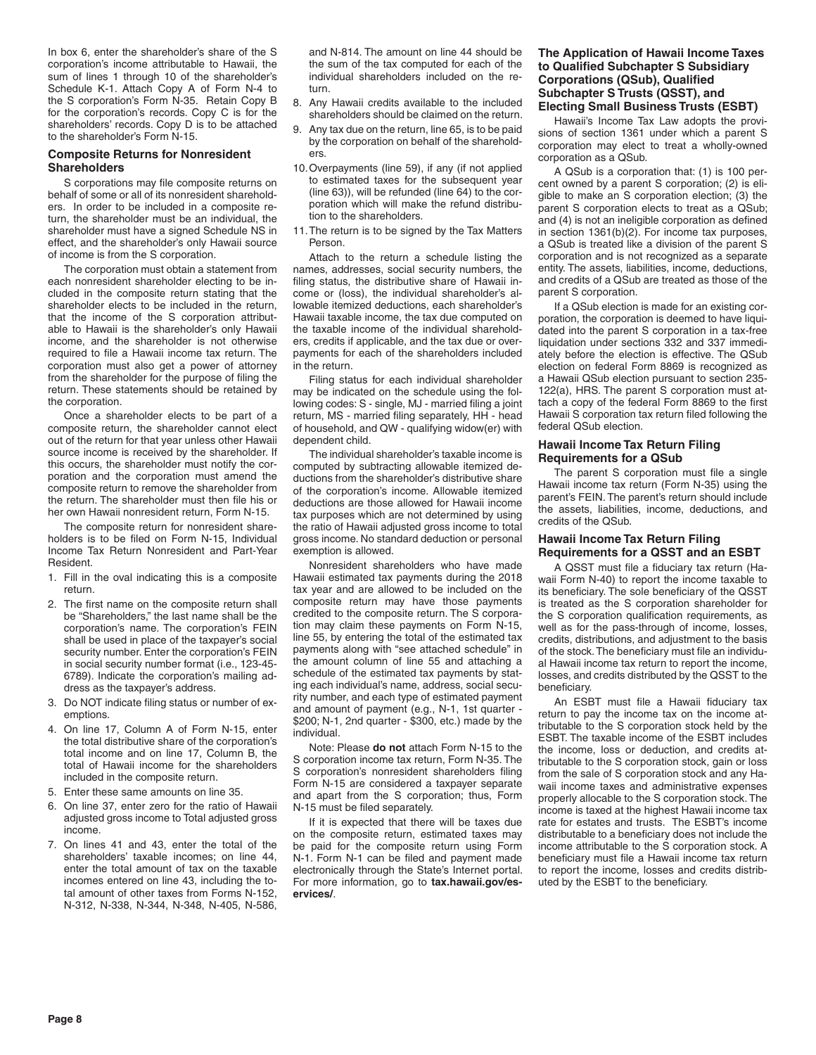In box 6, enter the shareholder's share of the S corporation's income attributable to Hawaii, the sum of lines 1 through 10 of the shareholder's Schedule K-1. Attach Copy A of Form N-4 to the S corporation's Form N-35. Retain Copy B for the corporation's records. Copy C is for the shareholders' records. Copy D is to be attached to the shareholder's Form N-15.

## **Composite Returns for Nonresident Shareholders**

S corporations may file composite returns on behalf of some or all of its nonresident shareholders. In order to be included in a composite return, the shareholder must be an individual, the shareholder must have a signed Schedule NS in effect, and the shareholder's only Hawaii source of income is from the S corporation.

The corporation must obtain a statement from each nonresident shareholder electing to be included in the composite return stating that the shareholder elects to be included in the return, that the income of the S corporation attributable to Hawaii is the shareholder's only Hawaii income, and the shareholder is not otherwise required to file a Hawaii income tax return. The corporation must also get a power of attorney from the shareholder for the purpose of filing the return. These statements should be retained by the corporation.

Once a shareholder elects to be part of a composite return, the shareholder cannot elect out of the return for that year unless other Hawaii source income is received by the shareholder. If this occurs, the shareholder must notify the corporation and the corporation must amend the composite return to remove the shareholder from the return. The shareholder must then file his or her own Hawaii nonresident return, Form N-15.

The composite return for nonresident shareholders is to be filed on Form N-15, Individual Income Tax Return Nonresident and Part-Year Resident.

- 1. Fill in the oval indicating this is a composite return.
- 2. The first name on the composite return shall be "Shareholders," the last name shall be the corporation's name. The corporation's FEIN shall be used in place of the taxpayer's social security number. Enter the corporation's FEIN in social security number format (i.e., 123-45- 6789). Indicate the corporation's mailing address as the taxpayer's address.
- 3. Do NOT indicate filing status or number of exemptions.
- 4. On line 17, Column A of Form N-15, enter the total distributive share of the corporation's total income and on line 17, Column B, the total of Hawaii income for the shareholders included in the composite return.
- 5. Enter these same amounts on line 35.
- 6. On line 37, enter zero for the ratio of Hawaii adjusted gross income to Total adjusted gross income.
- 7. On lines 41 and 43, enter the total of the shareholders' taxable incomes; on line 44, enter the total amount of tax on the taxable incomes entered on line 43, including the total amount of other taxes from Forms N-152, N-312, N-338, N-344, N-348, N-405, N-586,

and N-814. The amount on line 44 should be the sum of the tax computed for each of the individual shareholders included on the return.

- 8. Any Hawaii credits available to the included shareholders should be claimed on the return.
- 9. Any tax due on the return, line 65, is to be paid by the corporation on behalf of the shareholders.
- 10.Overpayments (line 59), if any (if not applied to estimated taxes for the subsequent year (line 63)), will be refunded (line 64) to the corporation which will make the refund distribution to the shareholders.
- 11.The return is to be signed by the Tax Matters Person.

Attach to the return a schedule listing the names, addresses, social security numbers, the filing status, the distributive share of Hawaii income or (loss), the individual shareholder's allowable itemized deductions, each shareholder's Hawaii taxable income, the tax due computed on the taxable income of the individual shareholders, credits if applicable, and the tax due or overpayments for each of the shareholders included in the return.

Filing status for each individual shareholder may be indicated on the schedule using the following codes: S - single, MJ - married filing a joint return, MS - married filing separately, HH - head of household, and QW - qualifying widow(er) with dependent child.

The individual shareholder's taxable income is computed by subtracting allowable itemized deductions from the shareholder's distributive share of the corporation's income. Allowable itemized deductions are those allowed for Hawaii income tax purposes which are not determined by using the ratio of Hawaii adjusted gross income to total gross income. No standard deduction or personal exemption is allowed.

Nonresident shareholders who have made Hawaii estimated tax payments during the 2018 tax year and are allowed to be included on the composite return may have those payments credited to the composite return. The S corporation may claim these payments on Form N-15, line 55, by entering the total of the estimated tax payments along with "see attached schedule" in the amount column of line 55 and attaching a schedule of the estimated tax payments by stating each individual's name, address, social security number, and each type of estimated payment and amount of payment (e.g., N-1, 1st quarter - \$200; N-1, 2nd quarter - \$300, etc.) made by the individual.

Note: Please **do not** attach Form N-15 to the S corporation income tax return, Form N-35. The S corporation's nonresident shareholders filing Form N-15 are considered a taxpayer separate and apart from the S corporation; thus, Form N-15 must be filed separately.

If it is expected that there will be taxes due on the composite return, estimated taxes may be paid for the composite return using Form N-1. Form N-1 can be filed and payment made electronically through the State's Internet portal. For more information, go to **tax.hawaii.gov/eservices/**.

## **The Application of Hawaii Income Taxes to Qualified Subchapter S Subsidiary Corporations (QSub), Qualified Subchapter S Trusts (QSST), and Electing Small Business Trusts (ESBT)**

Hawaii's Income Tax Law adopts the provisions of section 1361 under which a parent S corporation may elect to treat a wholly-owned corporation as a QSub.

A QSub is a corporation that: (1) is 100 percent owned by a parent S corporation; (2) is eligible to make an S corporation election; (3) the parent S corporation elects to treat as a QSub; and (4) is not an ineligible corporation as defined in section 1361(b)(2). For income tax purposes, a QSub is treated like a division of the parent S corporation and is not recognized as a separate entity. The assets, liabilities, income, deductions, and credits of a QSub are treated as those of the parent S corporation.

If a QSub election is made for an existing corporation, the corporation is deemed to have liquidated into the parent S corporation in a tax-free liquidation under sections 332 and 337 immediately before the election is effective. The QSub election on federal Form 8869 is recognized as a Hawaii QSub election pursuant to section 235- 122(a), HRS. The parent S corporation must attach a copy of the federal Form 8869 to the first Hawaii S corporation tax return filed following the federal QSub election.

## **Hawaii Income Tax Return Filing Requirements for a QSub**

The parent S corporation must file a single Hawaii income tax return (Form N-35) using the parent's FEIN. The parent's return should include the assets, liabilities, income, deductions, and credits of the QSub.

## **Hawaii Income Tax Return Filing Requirements for a QSST and an ESBT**

A QSST must file a fiduciary tax return (Hawaii Form N-40) to report the income taxable to its beneficiary. The sole beneficiary of the QSST is treated as the S corporation shareholder for the S corporation qualification requirements, as well as for the pass-through of income, losses, credits, distributions, and adjustment to the basis of the stock. The beneficiary must file an individual Hawaii income tax return to report the income, losses, and credits distributed by the QSST to the beneficiary.

An ESBT must file a Hawaii fiduciary tax return to pay the income tax on the income attributable to the S corporation stock held by the ESBT. The taxable income of the ESBT includes the income, loss or deduction, and credits attributable to the S corporation stock, gain or loss from the sale of S corporation stock and any Hawaii income taxes and administrative expenses properly allocable to the S corporation stock. The income is taxed at the highest Hawaii income tax rate for estates and trusts. The ESBT's income distributable to a beneficiary does not include the income attributable to the S corporation stock. A beneficiary must file a Hawaii income tax return to report the income, losses and credits distributed by the ESBT to the beneficiary.